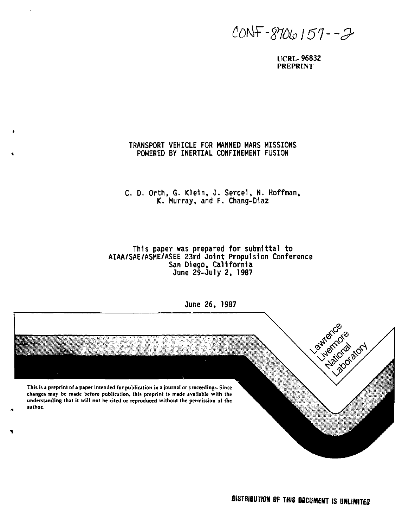*£0tiF-m>l51"2'* 

**UCRL- 96832 PREPRINT** 

# **TRANSPORT VEHICLE FOR MANNED MARS MISSIONS POWERED BY INERTIAL CONFINEMENT FUSION**

# **C. D. Orth, G. Klein, J. Sercel, N. Hoffman. (C. Murray, and F. Chang-D1az**

## **This paper was prepared for submittal to AIAA/SAE/ASME/ASEE 23rd Joint Propulsion Conference San Diego, California June 29-July 2, 1987**



**June 26, 1987**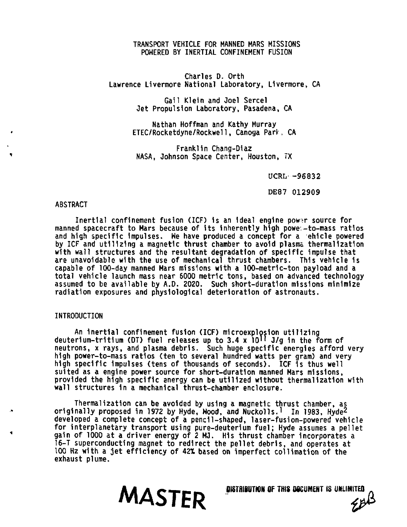## **TRANSPORT VEHICLE FOR MANNED MARS MISSIONS POWERED BY INERTIAL CONFINEMENT FUSION**

**Charles D. Orth Lawrence Livermore National Laboratory, Livermore, CA** 

> **Gail Klein and Joel Sercel Jet Propulsion Laboratory, Pasadena, CA**

**Nathan Hoffman and Kathy Murray ETEC/Rocketdyne/Rockwell, Canoga Park, CA** 

**Franklin Chang-Diaz NASA, Johnson Space Center, Houston, IX** 

**UCRL -96832** 

**DE87 012909** 

### **ABSTRACT**

Inertial confinement fusion (ICF) is an ideal engine power source for **manned spacecraft to Mars because of its inherently high powe.-to-mass ratios and high specific impulses. We have produced a concept for a ehlcle powered by ICF and utilizing a magnetic thrust chamber to avoid plasma thermalization with wall structures and the resultant degradation of specific impulse that are unavoidable with the use of mechanical thrust chambers. This vehicle is capable of 100-day manned Mars missions with a I00-metr1c-ton payload and a total vehicle launch mass near 6000 metric tons, based on advanced technology assumed to be available by A.D. 2020. Such short-duration missions minimize radiation exposures and physiological deterioration of astronauts.** 

# **INTRODUCTION**

**An inertlal confinement fusion (ICF) mlcroexplosion utilizing deuterium-tritium (DT) fuel releases up to 3.4 x 10 <sup>1</sup> <sup>1</sup> J/g In the form of neutrons, x rays, and plasma debris. Such huge specific energies afford very high power-to-mass ratios (ten to several hundred watts per gram) and very high specific Impulses (tens of thousands of seconds). ICF 1s thus well suited as a engine power source for short-duration manned Mars missions, provided the high specific energy can be utilized without thermalization with wall structures in a mechanical thrust-chamber enclosure.** 

**Thermalization can be avoided by using a magnetic thrust chamber, as originally proposed in 1972 by Hyde, Hood, and Nuckolls.<sup>1</sup> In 1983, Hyde<sup>2</sup> developed a complete concept of a pencil-shaped, laser-fusion-powered vehicle for interplanetary transport using pure-deuterium fuel; Hyde assumes a pellet gain of 1000 at a driver energy of 2 MJ. His thrust chamber incorporates a 16-T superconducting magnet to redirect the pellet debris, and operates at 100 Hz with a jet efficiency of 42\* based on imperfect collimation of the exhaust plume.** 

**CONTRET OF THIS DOCUMENT IS UNLIMITED**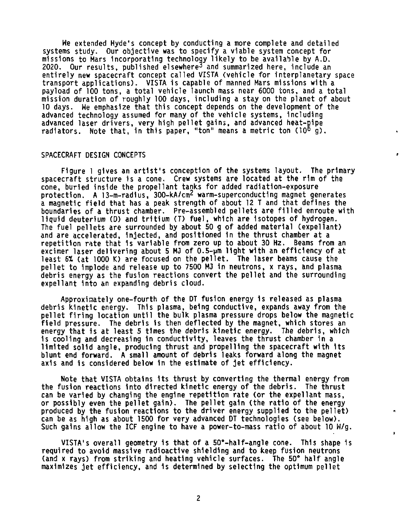**We extended Hyde's concept by conducting a more complete and detailed systems study. Our objective was to specify a viable system concept for missions to Mars incorporating technology likely to be available by A.D. 2020. Our results, published elsewhere^ and summarized here, include an entirely new spacecraft concept called VISTA (vehicle for interplanetary space transport applications). VISTA is capable of manned Mars missions with a payload of 100 tons, a total vehicle launch mass near 6000 tons, and a total mission duration of roughly 100 days, including a stay on the planet of about 10 days. We emphasize that this concept depends on the development of the advanced technology assumed for many of the vehicle systems, including advanced laser drivers, very high pellet gains, and advanced heat-pipe radiators. Note that, in this paper, "ton" means a metric ton (10° g) .** 

## **SPACECRAFT DESIGN CONCEPTS**

**Figure 1 gives an artist's conception of the systems layout. The primary spacecraft structure is a cone. Crew systems are located at the rim of the cone, burled inside the propellant tanks for added radiation-exposure protection. A 13-m-radius, 300-kA/cm<sup>2</sup> warm-superconducting magnet generates a magnetic field that has a peak strength of about 12 T and that defines the boundaries of a thrust chamber. Pre-assembled pellets are filled enroute with liquid deuterium (D) and tritium (T) fuel, which are Isotopes of hydrogen. The fuel pellets are surrounded by about 50 g of added material (expellant) and are accelerated, Injected, and positioned in the thrust chamber at a repetition rate that Is variable from zero up to about 30 Hz. Beams from an excimer laser delivering about 5 MJ of 0.5-pm light with an efficiency of at least 6\* (at 1000 K) are focused on the pellet. The laser beams cause the pellet to implode and release up to 7500 MJ 1n neutrons, x rays, and plasma debris energy as the fusion reactions convert the pellet and the surrounding expellant into an expanding debris cloud.** 

**Approximately one-fourth of the DT fusion energy is released as plasma debris kinetic energy. This plasma, being conductive, expands away from the pellet firing location until the bulk plasma pressure drops below the magnetic field pressure. The debris Is then deflected by the magnet, which stores an energy that is at least 5 times the debris kinetic energy. The debris, which is cooling and decreasing 1n conductivity, leaves the thrust chamber in a limited solid angle, producing thrust and propelling the spacecraft with Its blunt end forward. A small amount of debris leaks forward along the magnet axis and Is considered below 1n the estimate of jet efficiency.** 

**Note that VISTA obtains its thrust by converting the thermal energy from the fusion reactions Into directed kinetic energy of the debris. The thrust can be varied by changing the engine repetition rate (or the expellant mass, or possibly even the pellet gain). The pellet gain (the ratio of the energy produced by the fusion reactions to the driver energy supplied to the pellet) can be as high as about 1500 for very advanced DT technologies (see below). Such gains allow the ICF engine to have a power-to-mass ratio of about 10 W/g.** 

**VISTA's overall geometry is that of a 50°-half-angle cone. This shape is required to avoid massive radioactive shielding and to keep fusion neutrons (and x rays) from striking and heating vehicle surfaces. The 50" half angle maximizes jet efficiency, and is determined by selecting the optimum pellet**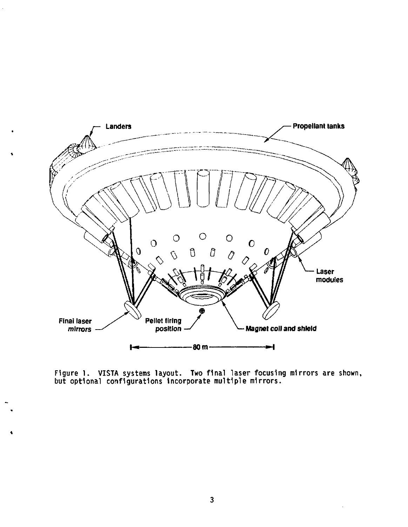

**Figure 1. VISTA systems layout. Two final laser focusing mirrors are shown, but optional configurations incorporate multiple mirrors.**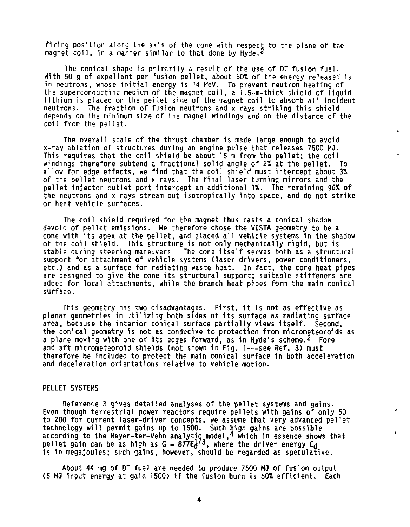**firing position along the axis of the cone with respect to the plane of the magnet coil, in a manner similar to that done by Hyde.<sup>2</sup>**

**The conical shape is primarily a result of the use of DT fusion fuel. With 50 g of expellant per fusion pellet, about 60X of the energy released is in neutrons, whose initial energy is 14 MeV. To prevent neutron heating of the superconducting medium of the magnet coil, a 1.5-m-thick shield of liquid lithium is placed on the pellet side of the magnet coil to absorb all incident neutrons. The fraction of fusion neutrons and x rays striking this shield depends on the minimum size of the magnet windings and on the distance of the coil from the pellet.** 

**The overall scale of the thrust chamber is made large enough to avoid x-ray ablation of structures during an engine pulse that releases 7500 MJ. This requires that the coil shield be about 15 m from the pellet; the coil windings therefore subtend a fractional solid angle of 2% at the pellet. To allow for edge effects, we find that the coil shield must intercept about 3t of the pellet neutrons and x rays. The final laser turning mirrors and the pellet injector outlet port intercept an additional It. The remaining 96% of the neutrons and x rays stream out isotropically into space, and do not strike or heat vehicle surfaces.** 

**The coil shield required for the magnet thus casts a conical shadow devoid of pellet emissions. He therefore chose the VISTA geometry to be a cone with its apex at the pellet, and placed all vehicle systems in the shadow of the coil shield. This structure Is not only mechanically rigid, but is stable during steering maneuvers. The cone itself serves both as a structural support for attachment of vehicle systems (laser drivers, power conditioners, etc.) and as a surface for radiating waste heat. In fact, the core heat pipes are designed to give the cone its structural support; suitable stiffeners are added for local attachments, while the branch heat pipes form the main conical surface.** 

**This geometry has two disadvantages. First, It 1s not as effective as planar geometries in utilizing both sides of its surface as radiating surface area, because the interior conical surface partially views Itself. Second, the conical geometry is not as conducive to protection from micrometeoroids as a plane moving with one of its edges forward, as 1n Hyde's scheme.<sup>2</sup> Fore**  and aft micrometeoroid shields (not shown in Fig. 1---see Ref. 3) must **therefore be Included to protect the main conical surface in both acceleration and deceleration orientations relative to vehicle motion.** 

### **PELLET SYSTEMS**

**Reference 3 gives detailed analyses of the pellet systems and gains. Even though terrestrial power reactors require pellets with gains of only 50 to 200 for current laser-driver concepts, we assume that very advanced pellet technology will permit gains up to 1500. Such high gains are possible according to the Meyer-ter-Vehn analytic model,<sup>4</sup> which in essence shows that pellet gain can be as high as G - 877EJ'<sup>3</sup> , where the driver energy Ej is in megajoules; such gains, however, should be regarded as speculative.** 

**About 44 mg of DT fuel are needed to produce 7500 MJ of fusion output (5 MJ input energy at gain 1500) if the fusion burn is 502 efficient. Each**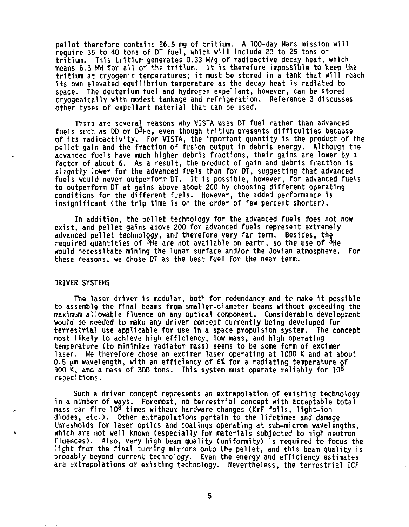**pellet therefore contains 26.5 mg of tritium. A 100-day Mars mission will require 35 to 40 tons of DT fuel, which will include 20 to 25 tons or tritium. This tritiur generates 0.33 W/g of radioactive decay heat, which means 8.3 MM for all of the tritium. It is therefore impossible to keep the tritium at cryogenic temperatures; it must be stored in a tank that will reach its own elevated equilibrium temperature as the decay heat is radiated to space. The deuterium fuel and hydrogen expellant, however, can be stored cryogenically with modest tankage and refrigeration. Reference 3 discusses other types of expellant material that can be used.** 

**There are several reasons why VISTA uses DT fuel rather than advanced fuels such as DD or D<sup>3</sup> He, even though tritium presents difficulties because of its radioactivity. For VISTA, the Important quantity is the product of the pellet gain and the fraction of fusion output 1n debris energy. Although the advanced fuels have much higher debris fractions, their gains are lower by a factor of about 6. As a result, the product of gain and debris fraction Is slightly lower for the advanced fuels than for DT, suggesting that advanced fuels would never outperform DT. It 1s possible, however, for advanced fuels to outperform DT at gains above about 200 by choosing different operating conditions for the different fuels. However, the added performance is Insignificant (the trip time is on the order of few percent shorter).** 

**In addition, the pellet technology for the advanced fuels does not now exist, and pellet gains above 200 for advanced fuels represent extremely advanced pellet technology, and therefore very far term. Besides, the required quantities of <sup>3</sup> He are not available on earth, so the use of <sup>3</sup> He would necessitate mining the lunar surface and/or the Jovian atmosphere. For these reasons, we chose DT as the best fuel for the near term.** 

#### **DRIVER SYSTEMS**

**The laser driver is modular, both for redundancy and to make it possible to assemble the final beams from smaller-diameter beams without exceeding the maximum allowable fluence on any optical component. Considerable development would be needed to make any driver concept currently being developed for terrestrial use applicable for use in a space propulsion system. The concept most likely to achieve high efficiency, low mass, and high operating temperature (to minimize radiator mass) seems to be some form of excimer laser. Me therefore chose an excimer laser operating at 1000 K and at about 0.5 nm wavelength, with an efficiency of 6% for a radiating temperature of 900 K, and a mass of 300 tons. This system must operate reliably for 10 <sup>8</sup> repetitions.** 

**Such a driver concept represents an extrapolation of existing technology in a number of ways. Foremost, no terrestrial concept with acceptable total mass can fire 10<sup>8</sup> times without hardware changes (KrF foils, light-ion diodes, etc.). Other extrapolations pertain to the lifetimes and damage thresholds for laser optics and coatings operating at sub-micron wavelengths, which are not well known (especially for materials subjected to high neutron fluences). Also, very high beam quality (uniformity) is required to focus the light from the final turning mirrors onto the pellet, and this beam quality is probably beyond current technology. Even the energy and efficiency estimates are extrapolations of existing technology. Nevertheless, the terrestrial ICF**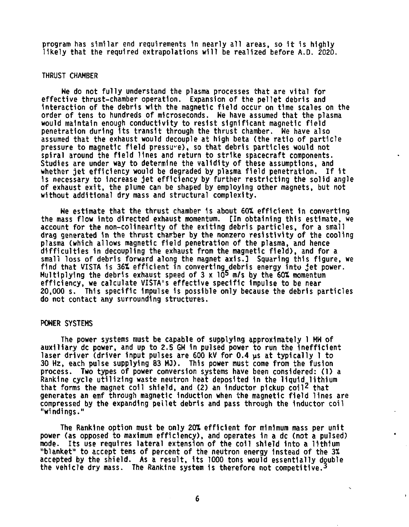**program has similar end requirements in nearly all areas, so it is highly likely that the required extrapolations will be realized before A.O. 2020.** 

#### **THRUST CHAMBER**

**We do not fully understand the plasma processes that are vital for effective thrust-chamber operation. Expansion of the pellet debris and interaction of the debris with the magnetic field occur on time scales on the order of tens to hundreds of microseconds. We have assumed that the plasma would maintain enough conductivity to resist significant magnetic field penetration during its transit through the thrust chamber. We have also assumed that the exhaust would decouple at high beta (the ratio of particle pressure to magnetic field pressure), so that debris particles would not spiral around the field lines and return to strike spacecraft components. Studies are under way to determine the validity of these assumptions, and whether jet efficiency would be degraded by plasma field penetration. If it Is necessary to Increase jet efficiency by further restricting the solid angle of exhaust exit, the plume can be shaped by employing other magnets, but not without additional dry mass and structural complexity.** 

**We estimate that the thrust chamber is about 60X efficient in converting the mass flow into directed exhaust momentum. [In obtaining this estimate, we account for the non-colinearlty of the exiting debris particles, for a small drag generated in the thrust chairber by the nonzero resistivity of the cooling plasma (which allows magnetic field penetration of the plasma, and hence difficulties in decoupling the exhaust from the magnetic field), and for a small loss of debris forward along the magnet axis.] Squaring this figure, we find that VISTA is 36% efficient in converting debris energy into jet power. Multiplying the debris exhaust speed of 3 x 10<sup>s</sup> m/s by the 601 momentum efficiency, we calculate VISTA's effective specific impulse to be near 20,000 s. This specific Impulse Is possible only because the debris particles do not contact any surrounding structures.** 

#### **POWER SYSTEMS**

**The power systems must be capable of supplying approximately 1 MW of auxiliary dc power, and up to 2.5 GW in pulsed power to run the Inefficient laser driver (driver input pulses are 600 kV for 0.4 ps at typically 1 to 30 Hz, each pulse supplying 83 MJ). This power must come from the fusion process. Two types of power conversion systems have been considered: (1) a Rankine cycle utilizing waste neutron heat deposited In the liquid lithium that forms the magnet coll shield, and (2) an inductor pickup coil<sup>2</sup> that generates an emf through magnetic Induction when the magnetic field lines are compressed by the expanding pellet debris and pass through the inductor coil "windings."** 

**The Rankine option must be only 201 efficient for minimum mass per unit power (as opposed to maximum efficiency), and operates in a dc (not a pulsed) mode. Its use requires lateral extension of the coll shield into a lithium "blanket" to accept tens of percent of the neutron energy Instead of the 3X accepted by the shield. As a result, its 1000 tons would essentially double the vehicle dry mass. The Rankine system Is therefore not competitive.<sup>3</sup>**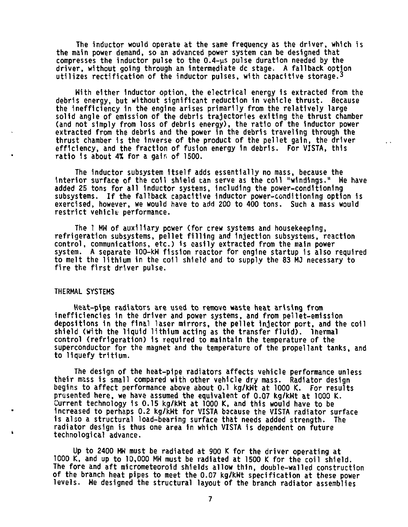**The inductor would operate at the same frequency as the driver, which is the main power demand, so an advanced power system can be designed that**  compresses the inductor pulse to the 0.4-us pulse duration needed by the **driver, without going through an intermediate dc stage. A fallback option utilizes rectification of the inductor pulses, with capacitive storage.<sup>3</sup>**

**With either inductor option, the electrical energy is extracted from the debris energy, but without significant reduction in vehicle thrust. Because the inefficiency in the engine arises primarily from the relatively large solid angle of emission of the debris trajectories exiting the thrust chamber (and not simply from loss of debris energy), the ratio of the inductor power extracted from the debris and the power in the debris traveling through the thrust chamber Is the inverse of the product of the pellet gain, the driver efficiency, and the fraction of fusion energy 1n debris. For VISTA, this ratio Is about** *At* **for a gain of 1500.** 

**The inductor subsystem Itself adds essentially no mass, because the interior surface of the coil shield can serve as the coil "windings." Me have added 25 tons for all Inductor systems, Including the power-conditioning subsystems. If the fallback capacitive Inductor power-conditioning option 1s exercised, however, we would have to add 200 to 400 tons. Such a mass would restrict vehicle performance.** 

**The 1 MW of auxiliary power (for crew systems and housekeeping, refrigeration subsystems, pellet filling and injection subsystems, reaction control, communications, etc.) is easily extracted from the main power system. A separate 100-kW fission reactor for engine startup is also required to melt the lithium in the coil shield and to supply the 83 MJ necessary to fire the first driver pulse.** 

## **THERMAL SYSTEMS**

**Heat-pipe radiators are used to remove waste heat arising from inefficiencies in the driver and power systems, and from pellet-emission depositions in the final laser mirrors, the pellet injector port, and the coll shield (with the liquid lithium acting as the transfer fluid), lnermal control (refrigeration) is required to maintain the temperature of the**  superconductor for the magnet and the temperature of the propellant tanks, and **to liquefy tritium.** 

**The design of the heat-pipe radiators affects vehicle performance unless their mass is small compared with other vehicle dry mass. Radiator design begins to affect performance above about 0.1 kg/kWt at 1000 K. For results presented here, we have assumed the equivalent of 0.07 kg/kWt at 1000** *K.*  **Current technology is 0.15 kg/kWt at 1000 K, and this would have to be increased to perhaps 0.2 kg/kWt for VISTA because the VISTA radiator surface is also a structural load-bearing surface that needs added strength. The radiator design is thus one area In which VISTA is dependent on future technological advance.** 

**Up to 2400 MW must be radiated at 900 K for the driver operating at 1000 K, and up to 10,000 MW must be radiated at 1500 K for the coil shield. The fore and aft micrometeorold shields allow thin, double-walled construction of the branch heat pipes to meet the 0.07 kg/kWt specification at these power levels. We designed the structural layout of the branch radiator assemblies**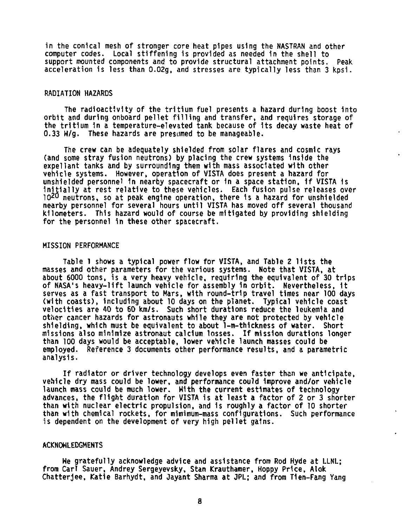**in the conical mesh of stronger core heat pipes using the NASTRAN and other computer codes. Local stiffening is provided as needed in the shell to support mounted components and to provide structural attachment points. Peak acceleration is less than 0.02g, and stresses are typically less than 3 kpsi.** 

## **RADIATION HAZARDS**

**The radioactivity of the tritium fuel presents a hazard during boost into orbit and during onboard pellet filling and transfer, and requires storage of the tritium in a temperature-elevated tank because of its decay waste heat of 0.33 W/g. These hazards are presumed to be manageable.** 

**The crew can be adequately shielded from solar flares and cosmic rays (and some stray fusion neutrons) by placing the crew systems Inside the expellant tanks and by surrounding them with mass associated with other vehicle systems. However, operation of VISTA does present a hazard for unshielded personnel 1n nearby spacecraft or in a space station, if VISTA 1s Initially at rest relative to these vehicles. Each fusion pulse releases over 1 0 <sup>2</sup> <sup>0</sup> neutrons, so at peak engine operation, there 1s a hazard for unshielded nearby personnel for several hours until VISTA has moved off several thousand kilometers. This hazard would of course be mitigated by providing shielding for the personnel in these other spacecraft.** 

### **MISSION PERFORMANCE**

**Table 1 shows a typical power flow for VISTA, and Table 2 lists the masses and other parameters for the various systems. Note that VISTA, at about 6000 tons, is a very heavy vehicle, requiring the equivalent of 30 trips of NASA's heavy-lift launch vehicle for assembly 1n orbit. Nevertheless, it serves as a fast transport to Mars, with round-trip travel times near 100 days (with coasts), Including about 10 days on the planet. Typical vehicle coast velocities are 40 to 60 km/s. Such short durations reduce the leukemia and other cancer hazards for astronauts while they are not protected by vehicle shielding, which must be equivalent to about 1-m-thlckness of water. Short missions also minimize astronaut calcium losses. If mission durations longer than 100 days would be acceptable, lower vehicle launch masses could be employed. Reference 3 documents other performance results, and a parametric analysis.** 

**If radiator or driver technology develops even faster than we anticipate, vehicle dry mass could be lower, and performance could Improve and/or vehicle launch mass could be much lower. With the current estimates of technology advances, the flight duration for VISTA is at least a factor of 2 or 3 shorter than with nuclear electric propulsion, and is roughly a factor of 10 shorter than with chemical rockets, for mimimum-mass configurations. Such performance is dependent on the development of very high pellet gains.** 

## **ACKNOWLEDGMENTS**

**He gratefully acknowledge advice and assistance from Rod Hyde at LLNL; from Carl Sauer, Andrey Sergeyevsky, Stan Krauthamer, Hoppy Price, Alok Chatterjee, Katie Barhydt, and Jayant Sharma at JPL; and from Tien-Fang Yang**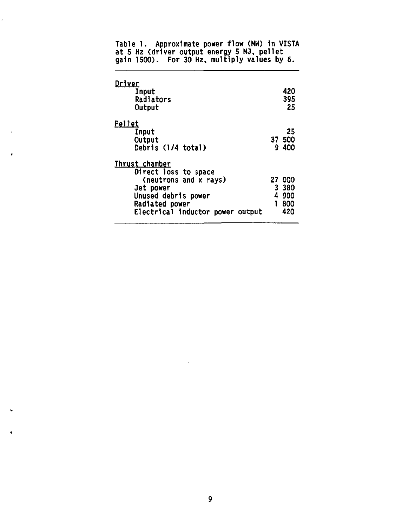| <u>Driver</u><br>Input<br>Radiators<br>Output                                                                                                             | 420<br>395<br>25                           |
|-----------------------------------------------------------------------------------------------------------------------------------------------------------|--------------------------------------------|
| Pellet<br>Input<br>Output<br>Debris (1/4 total)                                                                                                           | 25<br>37 500<br>9 400                      |
| Thrust chamber<br>Direct loss to space<br>(neutrons and x rays)<br>Jet power<br>Unused debris power<br>Radiated power<br>Electrical inductor power output | 27 000<br>3 380<br>4900<br>800<br>1<br>420 |

**Table 1. Approximate power flow (MM) in VISTA at 5 Hz (driver output energy 5 MJ, pellet gain 1500). For 30 Hz, multiply values by 6.** 

ä

 $\Delta$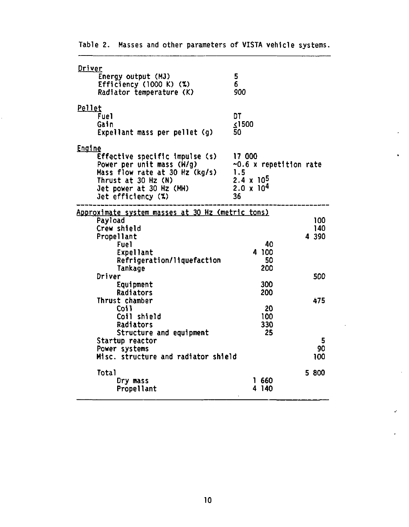| Driver                                                  |                              |  |
|---------------------------------------------------------|------------------------------|--|
| Energy output (MJ)                                      | 5                            |  |
| Efficiency (1000 K) $(\%)$                              | 6                            |  |
| Radiator temperature (K)                                | 900                          |  |
| Pellet                                                  |                              |  |
| Fuel                                                    | DT                           |  |
| Gain                                                    | $\leq$ 1500                  |  |
| Expellant mass per pellet (g)                           | 50                           |  |
| Engine                                                  |                              |  |
| Effective specific impulse (s)                          | 17 000                       |  |
| Power per unit mass (M/g)                               | $\sim 0.6$ x repetition rate |  |
| Mass flow rate at 30 Hz (kg/s)                          | 1.5                          |  |
| Thrust at 30 Hz (N)                                     | $2.4 \times 10^{5}$          |  |
| Jet power at 30 Hz (MW)                                 | $2.0 \times 10^{4}$          |  |
| Jet efficiency (%)                                      | 36                           |  |
| <u>Approximate system masses at 30 Hz (metric tons)</u> |                              |  |
| Payload                                                 | 100                          |  |
| Crew shield                                             | 140                          |  |
| Propellant                                              | 4 3 9 0                      |  |
| Fuel                                                    | 40                           |  |
| <b>Expellant</b>                                        | 4 100                        |  |
| Refrigeration/liquefaction                              | 50                           |  |
| Tankage                                                 | 200                          |  |
| Driver                                                  | 500                          |  |
| Equipment                                               | 300                          |  |
| Radiators                                               | 200                          |  |
| Thrust chamber<br>Coil                                  | 475<br>20                    |  |
| Coil shield                                             | 100                          |  |
| Radiators                                               | 330                          |  |
| Structure and equipment                                 | 25                           |  |
| Startup reactor                                         | 5                            |  |
| Power systems                                           | 90                           |  |
| Misc. structure and radiator shield                     | 100                          |  |
| <b>Total</b>                                            | 5 800                        |  |
| Dry mass                                                | 1660                         |  |
| Propellant                                              | 4140                         |  |
|                                                         |                              |  |

**Table 2. Masses and other parameters of VISTA vehicle systems.** 

 $\bullet$ 

 $\ddot{\phantom{0}}$